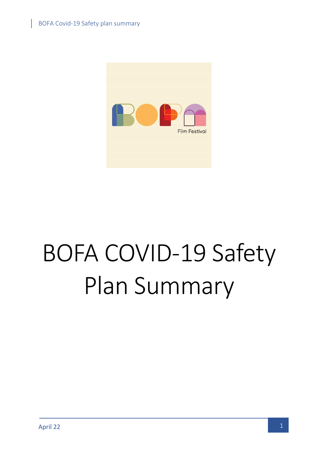

# BOFA COVID-19 Safety Plan Summary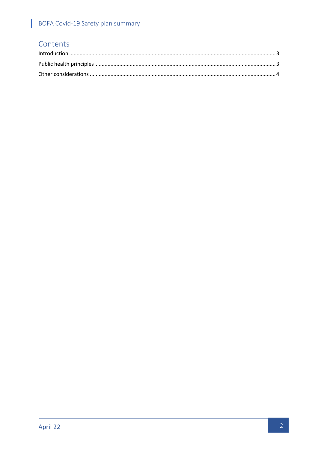## BOFA Covid-19 Safety plan summary

## Contents

I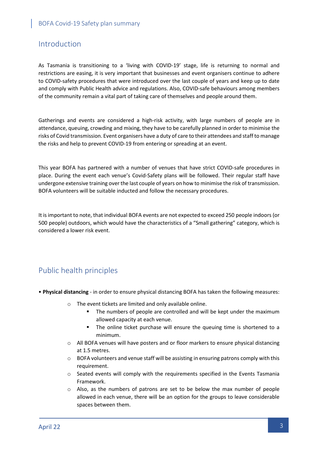### <span id="page-2-0"></span>Introduction

As Tasmania is transitioning to a 'living with COVID-19' stage, life is returning to normal and restrictions are easing, it is very important that businesses and event organisers continue to adhere to COVID-safety procedures that were introduced over the last couple of years and keep up to date and comply with Public Health advice and regulations. Also, COVID-safe behaviours among members of the community remain a vital part of taking care of themselves and people around them.

Gatherings and events are considered a high-risk activity, with large numbers of people are in attendance, queuing, crowding and mixing, they have to be carefully planned in order to minimise the risks of Covid transmission. Event organisers have a duty of care to their attendees and staff to manage the risks and help to prevent COVID-19 from entering or spreading at an event.

This year BOFA has partnered with a number of venues that have strict COVID-safe procedures in place. During the event each venue's Covid-Safety plans will be followed. Their regular staff have undergone extensive training over the last couple of years on how to minimise the risk of transmission. BOFA volunteers will be suitable inducted and follow the necessary procedures.

It is important to note, that individual BOFA events are not expected to exceed 250 people indoors (or 500 people) outdoors, which would have the characteristics of a "Small gathering" category, which is considered a lower risk event.

## <span id="page-2-1"></span>Public health principles

- **Physical distancing** in order to ensure physical distancing BOFA has taken the following measures:
	- o The event tickets are limited and only available online.
		- The numbers of people are controlled and will be kept under the maximum allowed capacity at each venue.
		- **.** The online ticket purchase will ensure the queuing time is shortened to a minimum.
	- $\circ$  All BOFA venues will have posters and or floor markers to ensure physical distancing at 1.5 metres.
	- o BOFA volunteers and venue staff will be assisting in ensuring patrons comply with this requirement.
	- o Seated events will comply with the requirements specified in the Events Tasmania Framework.
	- o Also, as the numbers of patrons are set to be below the max number of people allowed in each venue, there will be an option for the groups to leave considerable spaces between them.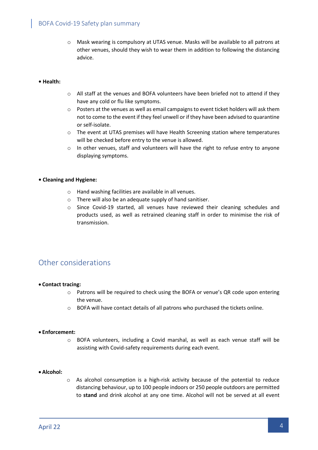#### BOFA Covid-19 Safety plan summary

o Mask wearing is compulsory at UTAS venue. Masks will be available to all patrons at other venues, should they wish to wear them in addition to following the distancing advice.

#### **• Health:**

- o All staff at the venues and BOFA volunteers have been briefed not to attend if they have any cold or flu like symptoms.
- $\circ$  Posters at the venues as well as email campaigns to event ticket holders will ask them not to come to the event if they feel unwell or if they have been advised to quarantine or self-isolate.
- o The event at UTAS premises will have Health Screening station where temperatures will be checked before entry to the venue is allowed.
- $\circ$  In other venues, staff and volunteers will have the right to refuse entry to anyone displaying symptoms.

#### **• Cleaning and Hygiene:**

- o Hand washing facilities are available in all venues.
- o There will also be an adequate supply of hand sanitiser.
- o Since Covid-19 started, all venues have reviewed their cleaning schedules and products used, as well as retrained cleaning staff in order to minimise the risk of transmission.

## <span id="page-3-0"></span>Other considerations

#### • **Contact tracing:**

- o Patrons will be required to check using the BOFA or venue's QR code upon entering the venue.
- o BOFA will have contact details of all patrons who purchased the tickets online.

#### • **Enforcement:**

o BOFA volunteers, including a Covid marshal, as well as each venue staff will be assisting with Covid-safety requirements during each event.

#### • **Alcohol:**

o As alcohol consumption is a high-risk activity because of the potential to reduce distancing behaviour, up to 100 people indoors or 250 people outdoors are permitted to **stand** and drink alcohol at any one time. Alcohol will not be served at all event